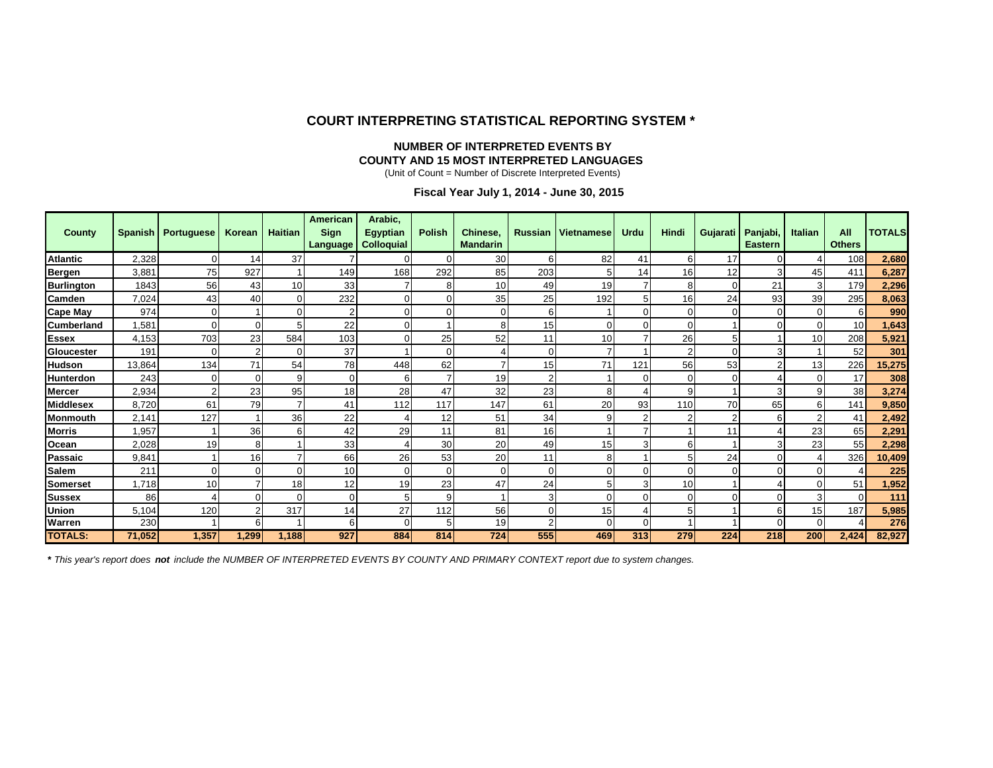### **COURT INTERPRETING STATISTICAL REPORTING SYSTEM \***

#### **NUMBER OF INTERPRETED EVENTS BY COUNTY AND 15 MOST INTERPRETED LANGUAGES**

(Unit of Count = Number of Discrete Interpreted Events)

**Fiscal Year July 1, 2014 - June 30, 2015**

| <b>County</b>     |        | Spanish   Portuguese | Korean   | <b>Haitian</b> | <b>American</b><br>Sign<br>Language | Arabic,<br><b>Egyptian</b><br><b>Colloquial</b> | <b>Polish</b> | Chinese,<br><b>Mandarin</b> | <b>Russian</b> | <b>Vietnamese</b> | <b>Urdu</b> | <b>Hindi</b> | <b>Gujarati</b> | Panjabi,<br><b>Eastern</b> | <b>Italian</b> | All<br><b>Others</b> | <b>TOTALS</b> |
|-------------------|--------|----------------------|----------|----------------|-------------------------------------|-------------------------------------------------|---------------|-----------------------------|----------------|-------------------|-------------|--------------|-----------------|----------------------------|----------------|----------------------|---------------|
| <b>Atlantic</b>   | 2,328  | 0                    | 14       | 37             |                                     | $\Omega$                                        |               | 30                          | 6              | 82                | 41          | 6            | 17              | 0                          |                | 108                  | 2,680         |
| Bergen            | 3,881  | 75                   | 927      |                | 149                                 | 168                                             | 292           | 85                          | 203            | 5                 | 14          | 16           | 12              |                            | 45             | 411                  | 6,287         |
| <b>Burlington</b> | 1843   | 56                   | 43       | 10             | 33                                  |                                                 |               | 10                          | 49             | 19                |             | 8            | 0               | 21                         |                | 179                  | 2,296         |
| Camden            | 7,024  | 43                   | 40       | 0              | 232                                 | 0                                               |               | 35                          | 25             | 192               |             | 16           | 24              | 93                         | 39             | 295                  | 8,063         |
| <b>Cape May</b>   | 974    | 0                    |          | 0              | 2                                   | O                                               |               | 0                           | 6              |                   |             | $\Omega$     | 0               | 0                          |                | 6                    | 990           |
| <b>Cumberland</b> | 1,581  | $\overline{0}$       | $\Omega$ |                | 22                                  | $\Omega$                                        |               | 8                           | 15             | $\Omega$          |             | $\sqrt{ }$   |                 |                            |                | 10                   | 1,643         |
| <b>Essex</b>      | 4,153  | 703                  | 23       | 584            | 103                                 | ∩                                               | 25            | 52                          | 11             | 10                |             | 26           | 5               |                            | 10             | 208                  | 5,921         |
| Gloucester        | 191    | 0                    | ◠        | U              | 37                                  |                                                 |               |                             | $\Omega$       |                   |             |              | $\Omega$        |                            |                | 52                   | 301           |
| <b>Hudson</b>     | 13,864 | 134                  | 71       | 54             | 78                                  | 448                                             | 62            |                             | 15             | 71                | 121         | 56           | 53              |                            | 13             | 226                  | 15,275        |
| Hunterdon         | 243    | 0                    | $\Omega$ | 9              | $\Omega$                            | 6                                               |               | 19                          | $\mathcal{P}$  |                   |             | C            | $\Omega$        |                            |                | 17                   | 308           |
| <b>Mercer</b>     | 2,934  | $\overline{2}$       | 23       | 95             | 18                                  | 28                                              | 47            | 32                          | 23             | 8                 |             | 9            |                 | 3                          |                | 38                   | 3,274         |
| <b>Middlesex</b>  | 8,720  | 61                   | 79       |                | 41                                  | 112                                             | 117           | 147                         | 61             | 20                | 93          | 110          | 70              | 65                         | 6              | 141                  | 9,850         |
| <b>Monmouth</b>   | 2,141  | 127                  |          | 36             | 22                                  |                                                 | 12            | 51                          | 34             | 9                 |             |              | $\overline{2}$  | 6                          |                | 41                   | 2,492         |
| <b>Morris</b>     | 1,957  |                      | 36       | 6              | 42                                  | 29                                              | 11            | 81                          | 16             |                   |             |              | 11              |                            | 23             | 65                   | 2,291         |
| Ocean             | 2,028  | 19                   | 8        |                | 33                                  |                                                 | 30            | 20                          | 49             | 15                |             | 6            |                 | 3                          | 23             | 55                   | 2,298         |
| Passaic           | 9,841  |                      | 16       |                | 66                                  | 26                                              | 53            | 20                          | 11             | 8                 |             | 5            | 24              | 0                          |                | 326                  | 10,409        |
| <b>Salem</b>      | 211    | $\mathbf 0$          | $\Omega$ | U              | 10                                  | $\Omega$                                        |               | $\overline{0}$              | $\Omega$       | $\Omega$          |             | $\Omega$     | $\Omega$        | $\Omega$                   |                |                      | 225           |
| Somerset          | 1,718  | 10                   |          | 18             | 12                                  | 19                                              | 23            | 47                          | 24             | 5                 |             | 10           |                 |                            |                | 51                   | 1,952         |
| <b>Sussex</b>     | 86     | 4                    | $\Omega$ | $\Omega$       | $\Omega$                            | 5                                               |               |                             | 3              | $\Omega$          |             | $\Omega$     | 0               |                            |                | $\Omega$             | 111           |
| Union             | 5,104  | 120                  | 2        | 317            | 14                                  | 27                                              | 112           | 56                          | 0              | 15                |             | 5            |                 | 6                          | 15             | 187                  | 5,985         |
| Warren            | 230    |                      | ี        |                | 6                                   | $\Omega$                                        |               | 19                          | $\overline{2}$ | $\Omega$          |             |              |                 | $\Omega$                   |                |                      | 276           |
| <b>TOTALS:</b>    | 71,052 | 1,357                | 1,299    | 1,188          | 927                                 | 884                                             | 814           | 724                         | 555            | 469               | 313         | 279          | 224             | 218                        | 200            | 2,424                | 82,927        |

**\*** *This year's report does not include the NUMBER OF INTERPRETED EVENTS BY COUNTY AND PRIMARY CONTEXT report due to system changes.*